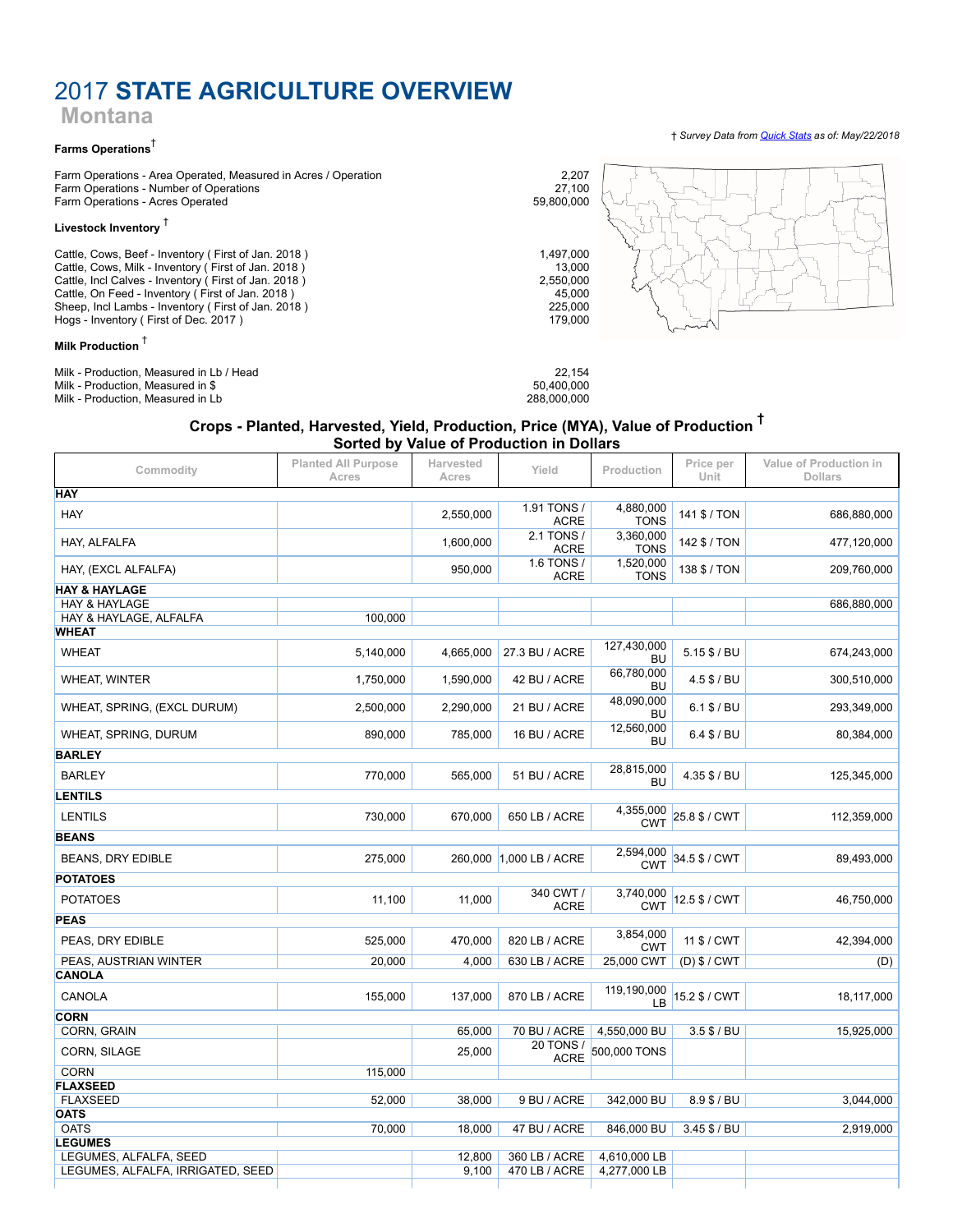# 2017 STATE AGRICULTURE OVERVIEW

Montana

#### Farms Operations†

Farm Operations - Area Operated, Measured in Acres / Operation 2,207 Farm Operations - Number of Operations 27,100<br>
Farm Operations - Acres Operated 59,800,000 Farm Operations - Acres Operated

## Livestock Inventory †

Cattle, Cows, Beef - Inventory ( First of Jan. 2018 ) 1,497,000<br>Cattle, Cows, Milk - Inventory ( First of Jan. 2018 ) 13,000 Cattle, Cows, Milk - Inventory ( First of Jan. 2018 ) 13,000 Cattle, Incl Calves - Inventory ( First of Jan. 2018 ) 2,550,000 Cattle, On Feed - Inventory ( First of Jan. 2018 ) 45,000 45,000 Sheep, Incl Lambs - Inventory (First of Jan. 2018 )<br>
Hogs - Inventory (First of Dec. 2017 ) 225,000 Hogs - Inventory ( First of Dec. 2017)

### Milk Production †

| Milk - Production, Measured in Lb / Head | 22.154      |
|------------------------------------------|-------------|
| Milk - Production, Measured in \$        | 50.400.000  |
| Milk - Production. Measured in Lb        | 288.000.000 |

## Crops - Planted, Harvested, Yield, Production, Price (MYA), Value of Production † Sorted by Value of Production in Dollars

| Commodity                          | <b>Planted All Purpose</b><br>Acres | Harvested<br>Acres | Yield                      | Production               | Price per<br>Unit | Value of Production in<br><b>Dollars</b> |
|------------------------------------|-------------------------------------|--------------------|----------------------------|--------------------------|-------------------|------------------------------------------|
| HAY                                |                                     |                    |                            |                          |                   |                                          |
| <b>HAY</b>                         |                                     | 2,550,000          | 1.91 TONS /<br><b>ACRE</b> | 4,880,000<br><b>TONS</b> | 141 \$ / TON      | 686,880,000                              |
| HAY, ALFALFA                       |                                     | 1,600,000          | 2.1 TONS /<br><b>ACRE</b>  | 3,360,000<br><b>TONS</b> | 142 \$ / TON      | 477,120,000                              |
| HAY, (EXCL ALFALFA)                |                                     | 950,000            | 1.6 TONS /<br><b>ACRE</b>  | 1,520,000<br><b>TONS</b> | 138 \$ / TON      | 209,760,000                              |
| <b>HAY &amp; HAYLAGE</b>           |                                     |                    |                            |                          |                   |                                          |
| <b>HAY &amp; HAYLAGE</b>           |                                     |                    |                            |                          |                   | 686,880,000                              |
| HAY & HAYLAGE, ALFALFA<br>WHEAT    | 100,000                             |                    |                            |                          |                   |                                          |
| <b>WHEAT</b>                       | 5,140,000                           | 4,665,000          | 27.3 BU / ACRE             | 127,430,000<br><b>BU</b> | 5.15 \$ / BU      | 674,243,000                              |
| <b>WHEAT, WINTER</b>               | 1,750,000                           | 1,590,000          | 42 BU / ACRE               | 66,780,000<br>BU         | $4.5$ \$ / BU     | 300,510,000                              |
| WHEAT, SPRING, (EXCL DURUM)        | 2,500,000                           | 2,290,000          | 21 BU / ACRE               | 48,090,000<br>BU         | $6.1$ \$ / BU     | 293,349,000                              |
| WHEAT, SPRING, DURUM               | 890,000                             | 785,000            | 16 BU / ACRE               | 12,560,000<br>BU         | 6.4 \$/ BU        | 80,384,000                               |
| <b>BARLEY</b>                      |                                     |                    |                            |                          |                   |                                          |
| <b>BARLEY</b>                      | 770,000                             | 565,000            | 51 BU / ACRE               | 28,815,000<br>BU         | 4.35 \$ / BU      | 125,345,000                              |
| LENTILS                            |                                     |                    |                            |                          |                   |                                          |
| <b>LENTILS</b>                     | 730,000                             | 670,000            | 650 LB / ACRE              | 4,355,000<br><b>CWT</b>  | 25.8 \$ / CWT     | 112,359,000                              |
| <b>BEANS</b>                       |                                     |                    |                            |                          |                   |                                          |
| <b>BEANS, DRY EDIBLE</b>           | 275,000                             |                    | 260,000 1,000 LB / ACRE    | 2,594,000<br><b>CWT</b>  | 34.5 \$ / CWT     | 89,493,000                               |
| <b>POTATOES</b>                    |                                     |                    |                            |                          |                   |                                          |
| <b>POTATOES</b>                    | 11,100                              | 11,000             | 340 CWT /<br><b>ACRE</b>   | 3,740,000<br><b>CWT</b>  | 12.5 \$ / CWT     | 46,750,000                               |
| <b>PEAS</b>                        |                                     |                    |                            |                          |                   |                                          |
| PEAS, DRY EDIBLE                   | 525,000                             | 470,000            | 820 LB / ACRE              | 3,854,000<br><b>CWT</b>  | 11 \$ / CWT       | 42,394,000                               |
| PEAS, AUSTRIAN WINTER              | 20,000                              | 4,000              | 630 LB / ACRE              | 25,000 CWT               | $(D)$ \$ / CWT    | (D)                                      |
| <b>CANOLA</b>                      |                                     |                    |                            | 119,190,000              |                   |                                          |
| CANOLA                             | 155,000                             | 137,000            | 870 LB / ACRE              | LB                       | 15.2 \$ / CWT     | 18,117,000                               |
| CORN                               |                                     |                    |                            |                          |                   |                                          |
| CORN, GRAIN                        |                                     | 65,000             | 70 BU / ACRE               | 4.550.000 BU             | $3.5$ \$ / BU     | 15,925,000                               |
| CORN, SILAGE                       |                                     | 25,000             | 20 TONS /<br><b>ACRE</b>   | 500.000 TONS             |                   |                                          |
| <b>CORN</b>                        | 115,000                             |                    |                            |                          |                   |                                          |
| <b>FLAXSEED</b><br><b>FLAXSEED</b> | 52,000                              | 38,000             | 9 BU / ACRE                |                          | 8.9 \$ / BU       | 3,044,000                                |
| <b>OATS</b>                        |                                     |                    |                            | 342,000 BU               |                   |                                          |
| <b>OATS</b>                        | 70,000                              | 18,000             | 47 BU / ACRE               | 846,000 BU               | $3.45$ \$ / BU    | 2,919,000                                |
| <b>LEGUMES</b>                     |                                     |                    |                            |                          |                   |                                          |
| LEGUMES, ALFALFA, SEED             |                                     | 12,800             | 360 LB / ACRE              | 4,610,000 LB             |                   |                                          |
| LEGUMES, ALFALFA, IRRIGATED, SEED  |                                     | 9,100              | 470 LB / ACRE              | 4,277,000 LB             |                   |                                          |

#### † Survey Data from [Quick](http://quickstats.nass.usda.gov/) Stats as of: May/22/2018

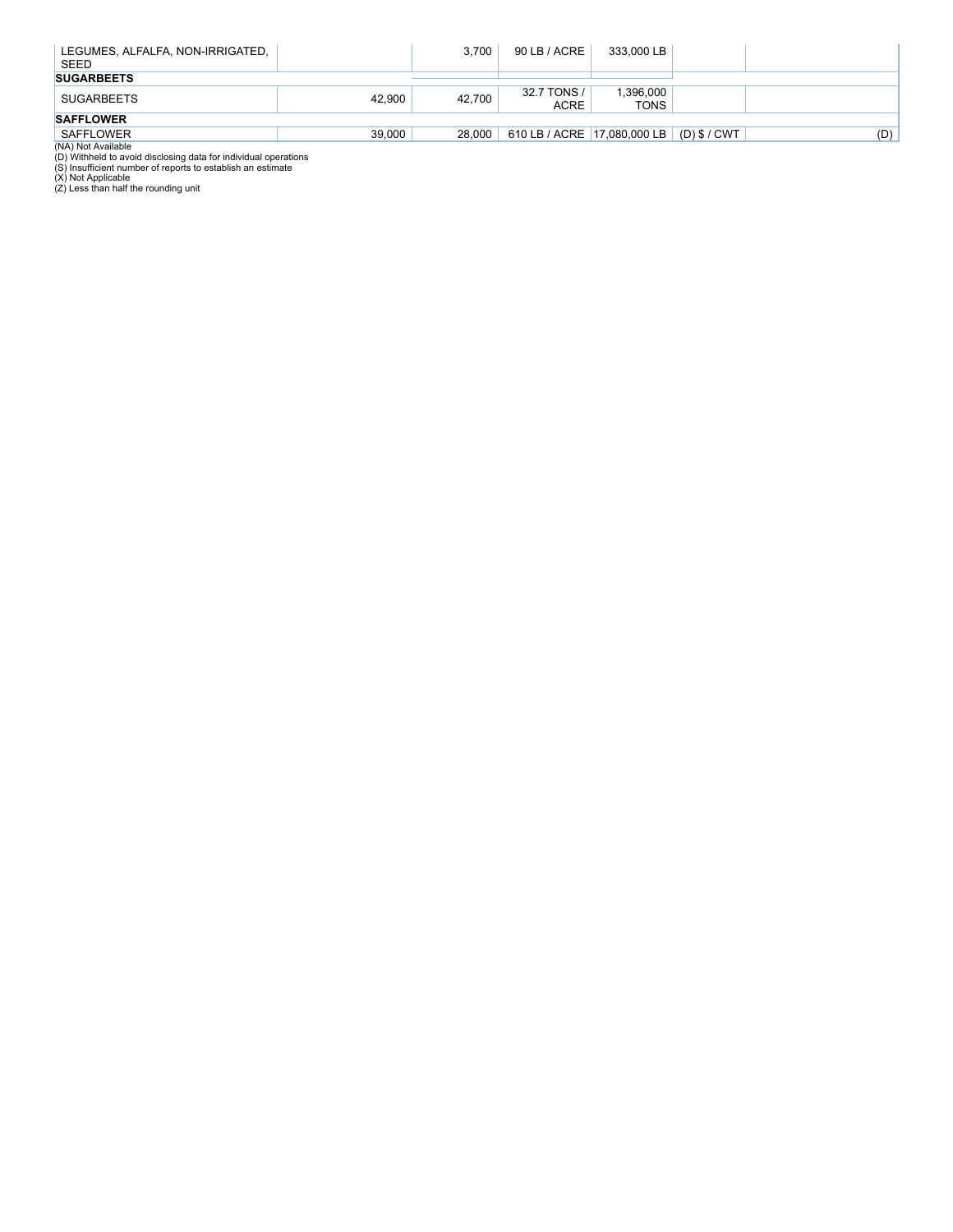| LEGUMES, ALFALFA, NON-IRRIGATED,<br>SEED |        | 3.700  | 90 LB / ACRE                               | 333.000 LB               |  |     |
|------------------------------------------|--------|--------|--------------------------------------------|--------------------------|--|-----|
| <b>SUGARBEETS</b>                        |        |        |                                            |                          |  |     |
| <b>SUGARBEETS</b>                        | 42.900 | 42.700 | 32.7 TONS /<br><b>ACRE</b>                 | 1.396.000<br><b>TONS</b> |  |     |
| <b>SAFFLOWER</b>                         |        |        |                                            |                          |  |     |
| SAFFLOWER                                | 39,000 | 28.000 | 610 LB / ACRE 17,080,000 LB   (D) \$ / CWT |                          |  | (D) |
| (NA) Not Available                       |        |        |                                            |                          |  |     |

(NA) Not Available (D) Withheld to avoid disclosing data for individual operations (S) Insufficient number of reports to establish an estimate (X) Not Applicable (Z) Less than half the rounding unit